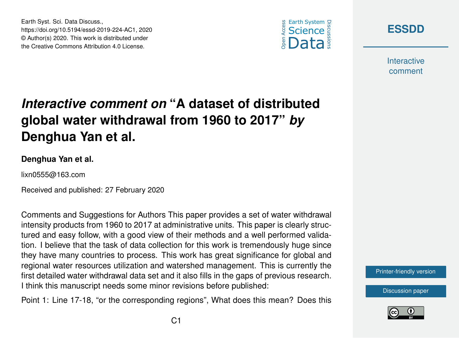





**Interactive** comment

## *Interactive comment on* **"A dataset of distributed global water withdrawal from 1960 to 2017"** *by* **Denghua Yan et al.**

## **Denghua Yan et al.**

lixn0555@163.com

Received and published: 27 February 2020

Comments and Suggestions for Authors This paper provides a set of water withdrawal intensity products from 1960 to 2017 at administrative units. This paper is clearly structured and easy follow, with a good view of their methods and a well performed validation. I believe that the task of data collection for this work is tremendously huge since they have many countries to process. This work has great significance for global and regional water resources utilization and watershed management. This is currently the first detailed water withdrawal data set and it also fills in the gaps of previous research. I think this manuscript needs some minor revisions before published:

Point 1: Line 17-18, "or the corresponding regions", What does this mean? Does this



[Discussion paper](https://www.earth-syst-sci-data-discuss.net/essd-2019-224)

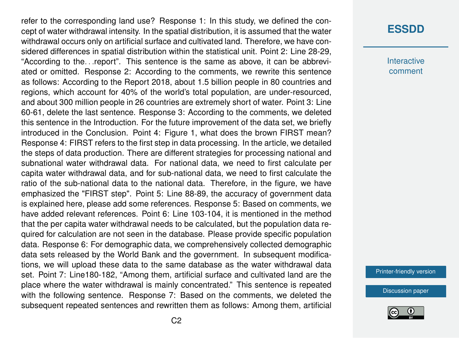refer to the corresponding land use? Response 1: In this study, we defined the concept of water withdrawal intensity. In the spatial distribution, it is assumed that the water withdrawal occurs only on artificial surface and cultivated land. Therefore, we have considered differences in spatial distribution within the statistical unit. Point 2: Line 28-29, "According to the. . .report". This sentence is the same as above, it can be abbreviated or omitted. Response 2: According to the comments, we rewrite this sentence as follows: According to the Report 2018, about 1.5 billion people in 80 countries and regions, which account for 40% of the world's total population, are under-resourced, and about 300 million people in 26 countries are extremely short of water. Point 3: Line 60-61, delete the last sentence. Response 3: According to the comments, we deleted this sentence in the Introduction. For the future improvement of the data set, we briefly introduced in the Conclusion. Point 4: Figure 1, what does the brown FIRST mean? Response 4: FIRST refers to the first step in data processing. In the article, we detailed the steps of data production. There are different strategies for processing national and subnational water withdrawal data. For national data, we need to first calculate per capita water withdrawal data, and for sub-national data, we need to first calculate the ratio of the sub-national data to the national data. Therefore, in the figure, we have emphasized the "FIRST step". Point 5: Line 88-89, the accuracy of government data is explained here, please add some references. Response 5: Based on comments, we have added relevant references. Point 6: Line 103-104, it is mentioned in the method that the per capita water withdrawal needs to be calculated, but the population data required for calculation are not seen in the database. Please provide specific population data. Response 6: For demographic data, we comprehensively collected demographic data sets released by the World Bank and the government. In subsequent modifications, we will upload these data to the same database as the water withdrawal data set. Point 7: Line180-182, "Among them, artificial surface and cultivated land are the place where the water withdrawal is mainly concentrated." This sentence is repeated with the following sentence. Response 7: Based on the comments, we deleted the subsequent repeated sentences and rewritten them as follows: Among them, artificial

## **[ESSDD](https://www.earth-syst-sci-data-discuss.net/)**

**Interactive** comment

[Printer-friendly version](https://www.earth-syst-sci-data-discuss.net/essd-2019-224/essd-2019-224-AC1-print.pdf)

[Discussion paper](https://www.earth-syst-sci-data-discuss.net/essd-2019-224)